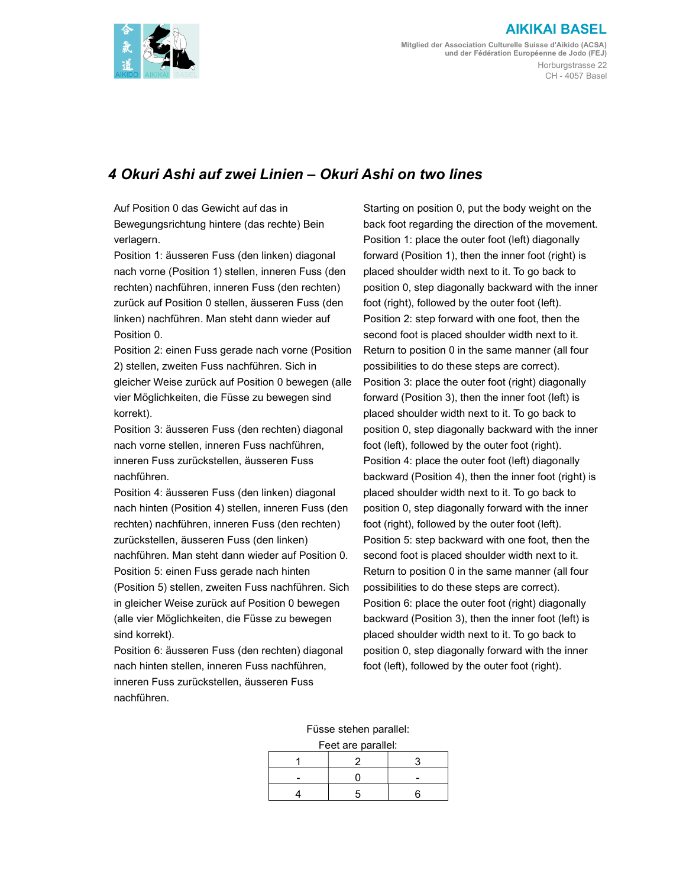

## AIKIKAI BASEL

Mitglied der Association Culturelle Suisse d'Aikido (ACSA) und der Fédération Européenne de Jodo (FEJ) Horburgstrasse 22 CH - 4057 Basel

## 4 Okuri Ashi auf zwei Linien – Okuri Ashi on two lines

Auf Position 0 das Gewicht auf das in Bewegungsrichtung hintere (das rechte) Bein verlagern.

Position 1: äusseren Fuss (den linken) diagonal nach vorne (Position 1) stellen, inneren Fuss (den rechten) nachführen, inneren Fuss (den rechten) zurück auf Position 0 stellen, äusseren Fuss (den linken) nachführen. Man steht dann wieder auf Position 0.

Position 2: einen Fuss gerade nach vorne (Position 2) stellen, zweiten Fuss nachführen. Sich in gleicher Weise zurück auf Position 0 bewegen (alle vier Möglichkeiten, die Füsse zu bewegen sind korrekt).

Position 3: äusseren Fuss (den rechten) diagonal nach vorne stellen, inneren Fuss nachführen, inneren Fuss zurückstellen, äusseren Fuss nachführen.

Position 4: äusseren Fuss (den linken) diagonal nach hinten (Position 4) stellen, inneren Fuss (den rechten) nachführen, inneren Fuss (den rechten) zurückstellen, äusseren Fuss (den linken) nachführen. Man steht dann wieder auf Position 0. Position 5: einen Fuss gerade nach hinten (Position 5) stellen, zweiten Fuss nachführen. Sich in gleicher Weise zurück auf Position 0 bewegen (alle vier Möglichkeiten, die Füsse zu bewegen sind korrekt).

Position 6: äusseren Fuss (den rechten) diagonal nach hinten stellen, inneren Fuss nachführen, inneren Fuss zurückstellen, äusseren Fuss nachführen.

Starting on position 0, put the body weight on the back foot regarding the direction of the movement. Position 1: place the outer foot (left) diagonally forward (Position 1), then the inner foot (right) is placed shoulder width next to it. To go back to position 0, step diagonally backward with the inner foot (right), followed by the outer foot (left). Position 2: step forward with one foot, then the second foot is placed shoulder width next to it. Return to position 0 in the same manner (all four possibilities to do these steps are correct). Position 3: place the outer foot (right) diagonally forward (Position 3), then the inner foot (left) is placed shoulder width next to it. To go back to position 0, step diagonally backward with the inner foot (left), followed by the outer foot (right). Position 4: place the outer foot (left) diagonally backward (Position 4), then the inner foot (right) is placed shoulder width next to it. To go back to position 0, step diagonally forward with the inner foot (right), followed by the outer foot (left). Position 5: step backward with one foot, then the second foot is placed shoulder width next to it. Return to position 0 in the same manner (all four possibilities to do these steps are correct). Position 6: place the outer foot (right) diagonally backward (Position 3), then the inner foot (left) is placed shoulder width next to it. To go back to position 0, step diagonally forward with the inner foot (left), followed by the outer foot (right).

Füsse stehen parallel:

| Feet are parallel: |  |  |  |  |
|--------------------|--|--|--|--|
|                    |  |  |  |  |
|                    |  |  |  |  |
|                    |  |  |  |  |